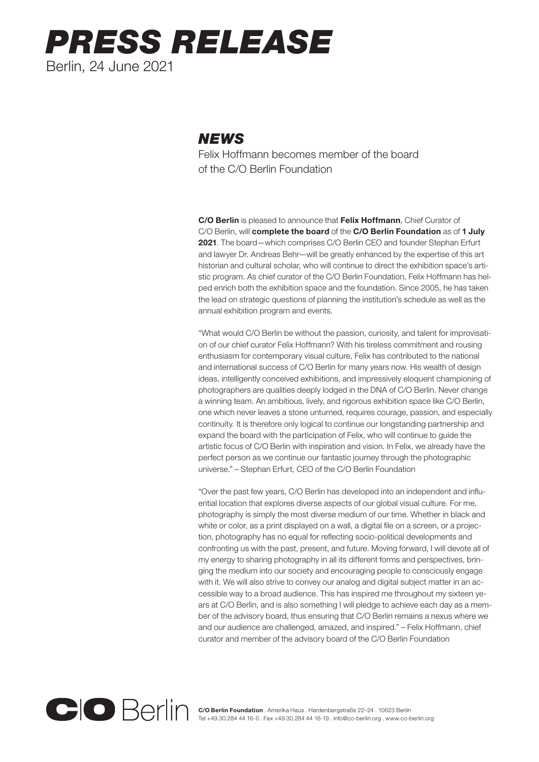## *PRESS RELEASE* Berlin, 24 June 2021

## *NEWS*

Felix Hoffmann becomes member of the board of the C/O Berlin Foundation

C/O Berlin is pleased to announce that Felix Hoffmann, Chief Curator of C/O Berlin, will complete the board of the C/O Berlin Foundation as of 1 July 2021. The board—which comprises C/O Berlin CEO and founder Stephan Erfurt and lawyer Dr. Andreas Behr—will be greatly enhanced by the expertise of this art historian and cultural scholar, who will continue to direct the exhibition space's artistic program. As chief curator of the C/O Berlin Foundation, Felix Hoffmann has helped enrich both the exhibition space and the foundation. Since 2005, he has taken the lead on strategic questions of planning the institution's schedule as well as the annual exhibition program and events.

"What would C/O Berlin be without the passion, curiosity, and talent for improvisation of our chief curator Felix Hoffmann? With his tireless commitment and rousing enthusiasm for contemporary visual culture, Felix has contributed to the national and international success of C/O Berlin for many years now. His wealth of design ideas, intelligently conceived exhibitions, and impressively eloquent championing of photographers are qualities deeply lodged in the DNA of C/O Berlin. Never change a winning team. An ambitious, lively, and rigorous exhibition space like C/O Berlin, one which never leaves a stone unturned, requires courage, passion, and especially continuity. It is therefore only logical to continue our longstanding partnership and expand the board with the participation of Felix, who will continue to guide the artistic focus of C/O Berlin with inspiration and vision. In Felix, we already have the perfect person as we continue our fantastic journey through the photographic universe." – Stephan Erfurt, CEO of the C/O Berlin Foundation

"Over the past few years, C/O Berlin has developed into an independent and influential location that explores diverse aspects of our global visual culture. For me, photography is simply the most diverse medium of our time. Whether in black and white or color, as a print displayed on a wall, a digital file on a screen, or a projection, photography has no equal for reflecting socio-political developments and confronting us with the past, present, and future. Moving forward, I will devote all of my energy to sharing photography in all its different forms and perspectives, bringing the medium into our society and encouraging people to consciously engage with it. We will also strive to convey our analog and digital subject matter in an accessible way to a broad audience. This has inspired me throughout my sixteen years at C/O Berlin, and is also something I will pledge to achieve each day as a member of the advisory board, thus ensuring that C/O Berlin remains a nexus where we and our audience are challenged, amazed, and inspired." – Felix Hoffmann, chief curator and member of the advisory board of the C/O Berlin Foundation



C/O Berlin Foundation . Amerika Haus . Hardenbergstraße 22–24 . 10623 Berlin Tel +49.30.284 44 16-0 . Fax +49.30.284 44 16-19 . info@co-berlin.org . www.co-berlin.org